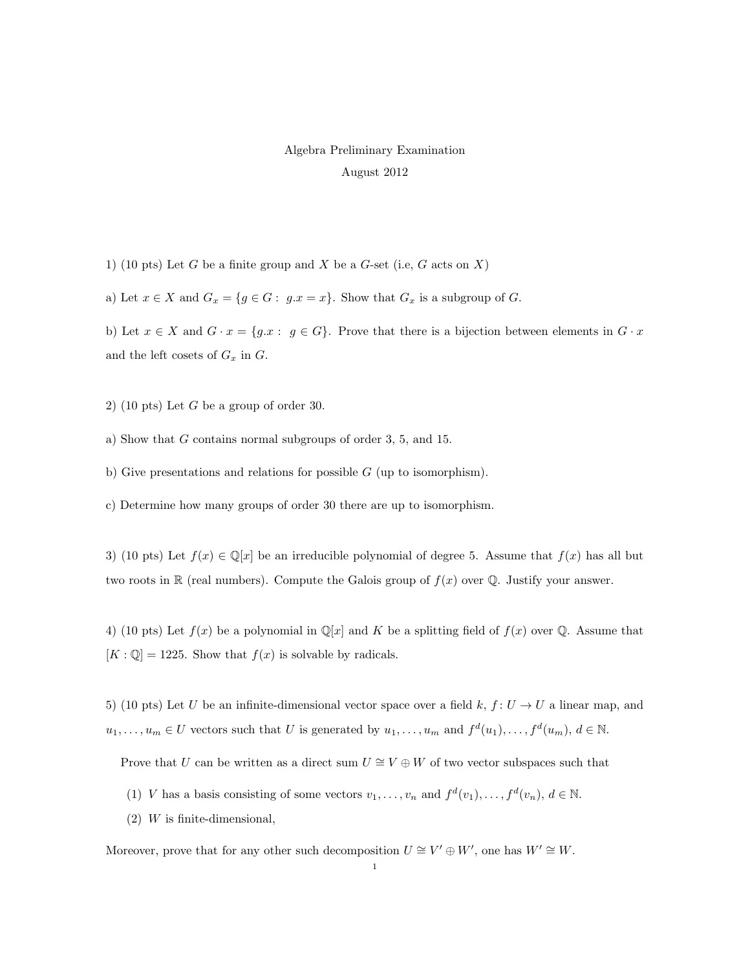## Algebra Preliminary Examination August 2012

1) (10 pts) Let G be a finite group and X be a G-set (i.e, G acts on X)

a) Let  $x \in X$  and  $G_x = \{g \in G : g.x = x\}$ . Show that  $G_x$  is a subgroup of G.

b) Let  $x \in X$  and  $G \cdot x = \{g \cdot x : g \in G\}$ . Prove that there is a bijection between elements in  $G \cdot x$ and the left cosets of  $G_x$  in  $G$ .

- 2) (10 pts) Let  $G$  be a group of order 30.
- a) Show that G contains normal subgroups of order 3, 5, and 15.
- b) Give presentations and relations for possible  $G$  (up to isomorphism).
- c) Determine how many groups of order 30 there are up to isomorphism.

3) (10 pts) Let  $f(x) \in \mathbb{Q}[x]$  be an irreducible polynomial of degree 5. Assume that  $f(x)$  has all but two roots in R (real numbers). Compute the Galois group of  $f(x)$  over Q. Justify your answer.

4) (10 pts) Let  $f(x)$  be a polynomial in  $\mathbb{Q}[x]$  and K be a splitting field of  $f(x)$  over  $\mathbb{Q}$ . Assume that  $[K : \mathbb{Q}] = 1225$ . Show that  $f(x)$  is solvable by radicals.

5) (10 pts) Let U be an infinite-dimensional vector space over a field k,  $f: U \to U$  a linear map, and  $u_1, \ldots, u_m \in U$  vectors such that U is generated by  $u_1, \ldots, u_m$  and  $f^d(u_1), \ldots, f^d(u_m), d \in \mathbb{N}$ .

Prove that U can be written as a direct sum  $U \cong V \oplus W$  of two vector subspaces such that

- (1) V has a basis consisting of some vectors  $v_1, \ldots, v_n$  and  $f^d(v_1), \ldots, f^d(v_n), d \in \mathbb{N}$ .
- $(2)$  W is finite-dimensional,

Moreover, prove that for any other such decomposition  $U \cong V' \oplus W'$ , one has  $W' \cong W$ .